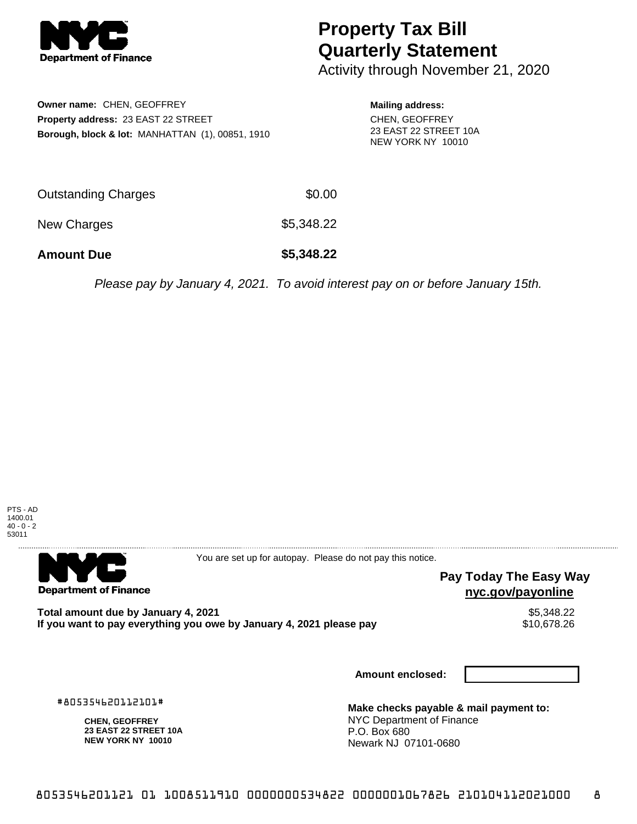

## **Property Tax Bill Quarterly Statement**

Activity through November 21, 2020

**Owner name:** CHEN, GEOFFREY **Property address:** 23 EAST 22 STREET **Borough, block & lot:** MANHATTAN (1), 00851, 1910 **Mailing address:**

CHEN, GEOFFREY 23 EAST 22 STREET 10A NEW YORK NY 10010

| <b>Amount Due</b>   | \$5,348.22 |
|---------------------|------------|
| New Charges         | \$5,348.22 |
| Outstanding Charges | \$0.00     |

Please pay by January 4, 2021. To avoid interest pay on or before January 15th.



**Department of Finance** 

You are set up for autopay. Please do not pay this notice.

## **Pay Today The Easy Way nyc.gov/payonline**

Total amount due by January 4, 2021<br>If you want to pay everything you owe by January 4, 2021 please pay **structure of the State of the State State** If you want to pay everything you owe by January 4, 2021 please pay

**Amount enclosed:**

#805354620112101#

**CHEN, GEOFFREY 23 EAST 22 STREET 10A NEW YORK NY 10010**

**Make checks payable & mail payment to:** NYC Department of Finance P.O. Box 680 Newark NJ 07101-0680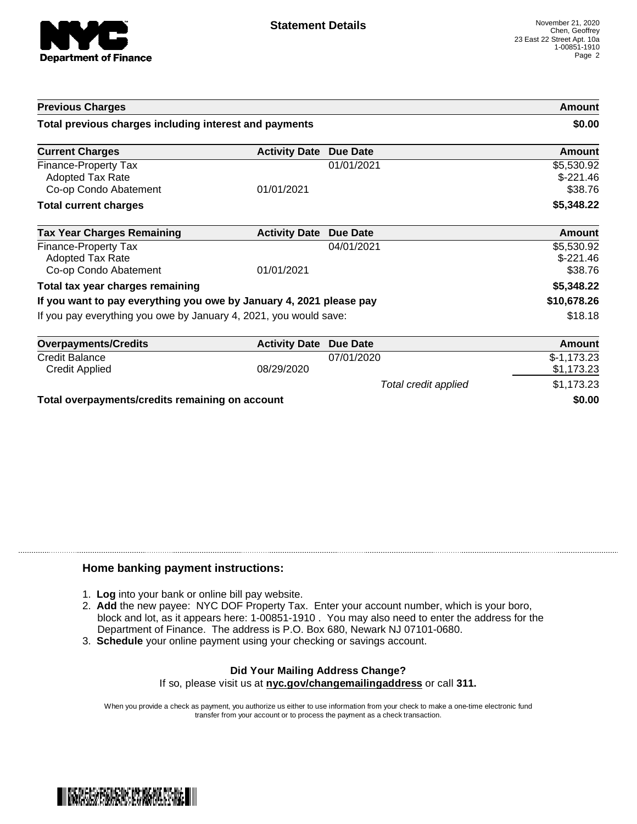

| <b>Previous Charges</b>                                             |                      |                      | Amount                              |
|---------------------------------------------------------------------|----------------------|----------------------|-------------------------------------|
| Total previous charges including interest and payments              |                      | \$0.00               |                                     |
| <b>Current Charges</b>                                              | <b>Activity Date</b> | <b>Due Date</b>      | <b>Amount</b>                       |
| Finance-Property Tax<br>Adopted Tax Rate<br>Co-op Condo Abatement   | 01/01/2021           | 01/01/2021           | \$5,530.92<br>$$-221.46$<br>\$38.76 |
| <b>Total current charges</b>                                        |                      |                      | \$5,348.22                          |
| <b>Tax Year Charges Remaining</b>                                   | <b>Activity Date</b> | Due Date             | <b>Amount</b>                       |
| Finance-Property Tax<br>Adopted Tax Rate<br>Co-op Condo Abatement   | 01/01/2021           | 04/01/2021           | \$5,530.92<br>$$-221.46$<br>\$38.76 |
| Total tax year charges remaining                                    |                      |                      | \$5,348.22                          |
| If you want to pay everything you owe by January 4, 2021 please pay |                      |                      | \$10,678.26                         |
| If you pay everything you owe by January 4, 2021, you would save:   |                      |                      | \$18.18                             |
| <b>Overpayments/Credits</b>                                         | <b>Activity Date</b> | Due Date             | <b>Amount</b>                       |
| <b>Credit Balance</b><br><b>Credit Applied</b>                      | 08/29/2020           | 07/01/2020           | $$-1,173.23$<br>\$1,173.23          |
|                                                                     |                      | Total credit applied | \$1,173.23                          |
| Total overpayments/credits remaining on account                     |                      |                      | \$0.00                              |

## **Home banking payment instructions:**

- 1. **Log** into your bank or online bill pay website.
- 2. **Add** the new payee: NYC DOF Property Tax. Enter your account number, which is your boro, block and lot, as it appears here: 1-00851-1910 . You may also need to enter the address for the Department of Finance. The address is P.O. Box 680, Newark NJ 07101-0680.
- 3. **Schedule** your online payment using your checking or savings account.

## **Did Your Mailing Address Change?** If so, please visit us at **nyc.gov/changemailingaddress** or call **311.**

When you provide a check as payment, you authorize us either to use information from your check to make a one-time electronic fund transfer from your account or to process the payment as a check transaction.